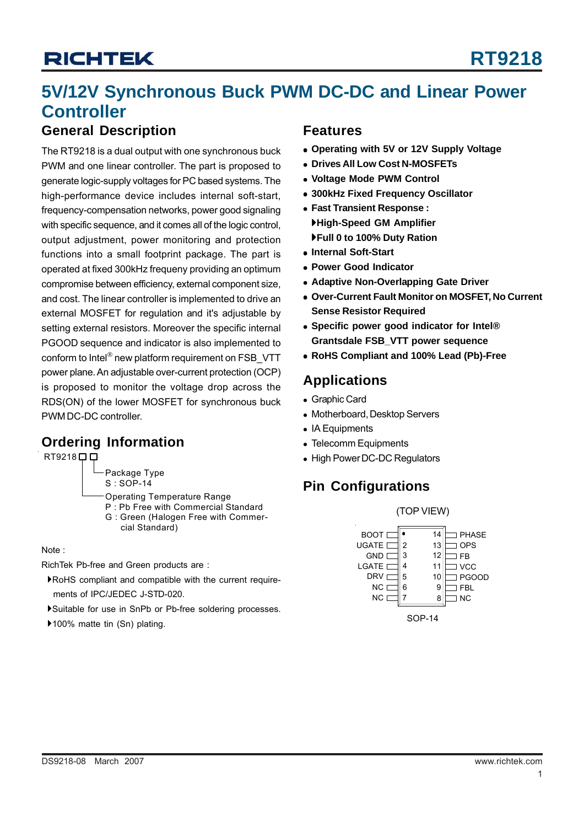## **5V/12V Synchronous Buck PWM DC-DC and Linear Power Controller**

## **General Description**

The RT9218 is a dual output with one synchronous buck PWM and one linear controller. The part is proposed to generate logic-supply voltages for PC based systems. The high-performance device includes internal soft-start, frequency-compensation networks, power good signaling with specific sequence, and it comes all of the logic control, output adjustment, power monitoring and protection functions into a small footprint package. The part is operated at fixed 300kHz frequeny providing an optimum compromise between efficiency, external component size, and cost. The linear controller is implemented to drive an external MOSFET for regulation and it's adjustable by setting external resistors. Moreover the specific internal PGOOD sequence and indicator is also implemented to conform to Intel® new platform requirement on FSB\_VTT power plane. An adjustable over-current protection (OCP) is proposed to monitor the voltage drop across the RDS(ON) of the lower MOSFET for synchronous buck PWM DC-DC controller.

## **Ordering Information**

RT9218<sup>DD</sup>

Package Type S : SOP-14

- Operating Temperature Range
- P : Pb Free with Commercial Standard G : Green (Halogen Free with Commer cial Standard)

Note :

RichTek Pb-free and Green products are :

- `RoHS compliant and compatible with the current require ments of IPC/JEDEC J-STD-020.
- `Suitable for use in SnPb or Pb-free soldering processes.
- ▶100% matte tin (Sn) plating.

## **Features**

- <sup>z</sup> **Operating with 5V or 12V Supply Voltage**
- **Drives All Low Cost N-MOSFETs**
- <sup>z</sup> **Voltage Mode PWM Control**
- <sup>z</sup> **300kHz Fixed Frequency Oscillator**
- <sup>z</sup> **Fast Transient Response :** `**High-Speed GM Amplifier** `**Full 0 to 100% Duty Ration**
- <sup>z</sup> **Internal Soft-Start**
- **Power Good Indicator**
- **Adaptive Non-Overlapping Gate Driver**
- **Over-Current Fault Monitor on MOSFET, No Current Sense Resistor Required**
- $\bullet$  **Specific power good indicator for Intel® Grantsdale FSB\_VTT power sequence**
- <sup>z</sup> **RoHS Compliant and 100% Lead (Pb)-Free**

## **Applications**

- Graphic Card
- Motherboard, Desktop Servers
- IA Equipments
- Telecomm Equipments
- High Power DC-DC Regulators

## **Pin Configurations**

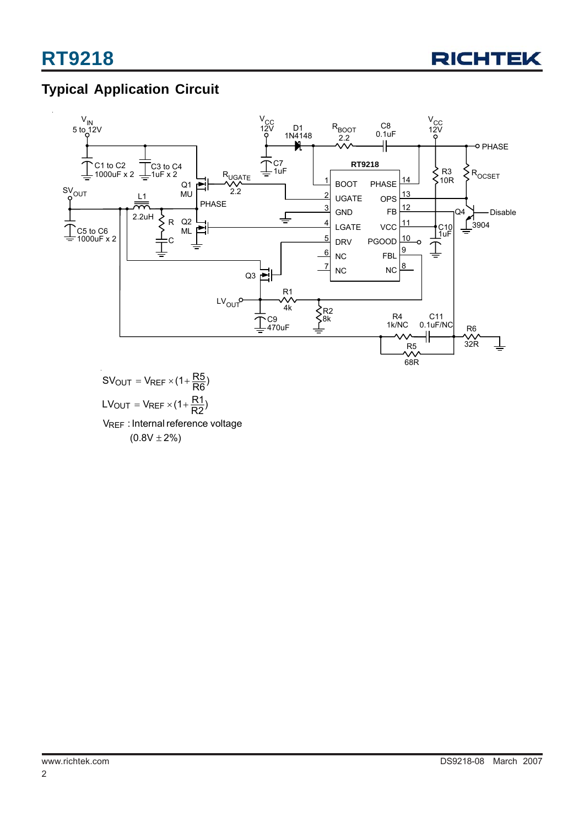

## **Typical Application Circuit**



 $(0.8 \mathrm{V} \pm 2\%)$ V<sub>REF</sub> : Internal reference voltage  $LV_{\text{OUT}} = V_{\text{REF}} \times (1 + \frac{R1}{R2})$  $\mathsf{SV_{OUT}} = \mathsf{V_{REF}} \times (1 + \frac{\mathsf{R5}}{\mathsf{R6}})$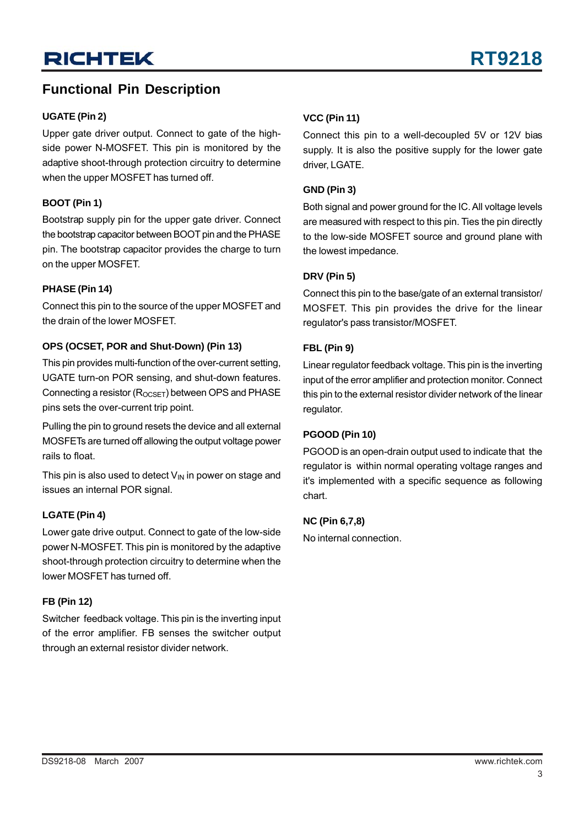## **UGATE (Pin 2)**

Upper gate driver output. Connect to gate of the highside power N-MOSFET. This pin is monitored by the adaptive shoot-through protection circuitry to determine when the upper MOSFET has turned off.

## **BOOT (Pin 1)**

Bootstrap supply pin for the upper gate driver. Connect the bootstrap capacitor between BOOT pin and the PHASE pin. The bootstrap capacitor provides the charge to turn on the upper MOSFET.

## **PHASE (Pin 14)**

Connect this pin to the source of the upper MOSFET and the drain of the lower MOSFET.

## **OPS (OCSET, POR and Shut-Down) (Pin 13)**

This pin provides multi-function of the over-current setting, UGATE turn-on POR sensing, and shut-down features. Connecting a resistor  $(R_{OCSFT})$  between OPS and PHASE pins sets the over-current trip point.

Pulling the pin to ground resets the device and all external MOSFETs are turned off allowing the output voltage power rails to float.

This pin is also used to detect  $V_{\text{IN}}$  in power on stage and issues an internal POR signal.

### **LGATE (Pin 4)**

Lower gate drive output. Connect to gate of the low-side power N-MOSFET. This pin is monitored by the adaptive shoot-through protection circuitry to determine when the lower MOSFET has turned off.

### **FB (Pin 12)**

Switcher feedback voltage. This pin is the inverting input of the error amplifier. FB senses the switcher output through an external resistor divider network.

## **VCC (Pin 11)**

Connect this pin to a well-decoupled 5V or 12V bias supply. It is also the positive supply for the lower gate driver, LGATE.

## **GND (Pin 3)**

Both signal and power ground for the IC. All voltage levels are measured with respect to this pin. Ties the pin directly to the low-side MOSFET source and ground plane with the lowest impedance.

### **DRV (Pin 5)**

Connect this pin to the base/gate of an external transistor/ MOSFET. This pin provides the drive for the linear regulator's pass transistor/MOSFET.

### **FBL (Pin 9)**

Linear regulator feedback voltage. This pin is the inverting input of the error amplifier and protection monitor. Connect this pin to the external resistor divider network of the linear regulator.

### **PGOOD (Pin 10)**

PGOOD is an open-drain output used to indicate that the regulator is within normal operating voltage ranges and it's implemented with a specific sequence as following chart.

### **NC (Pin 6,7,8)**

No internal connection.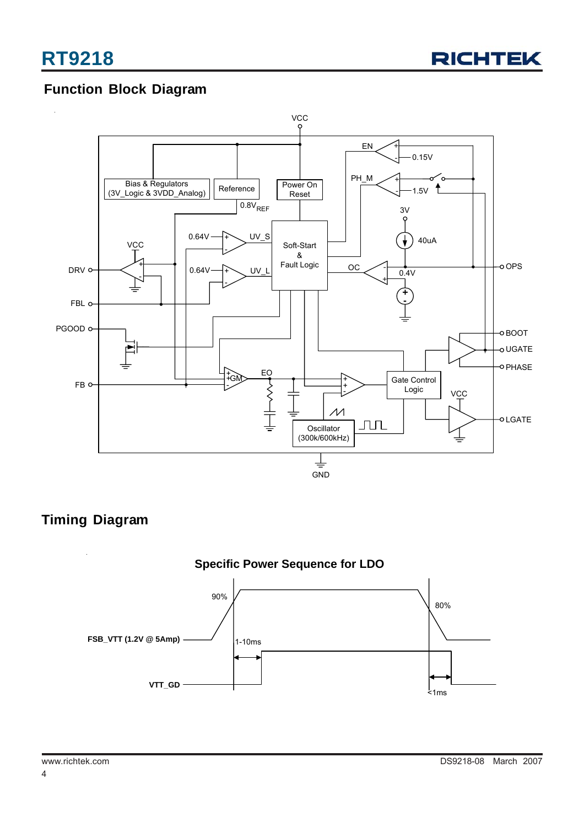

## **Function Block Diagram**



## **Timing Diagram**

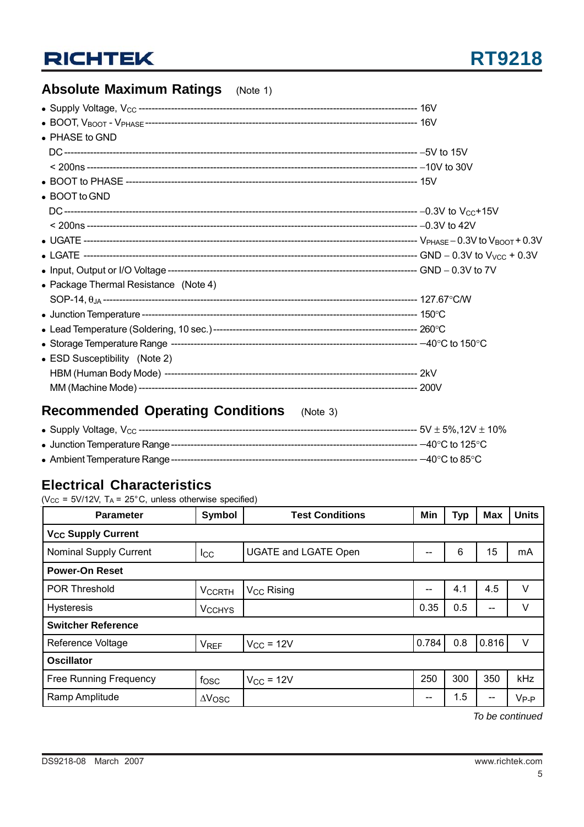## **Absolute Maximum Ratings** (Note 1)

| • PHASE to GND                        |  |
|---------------------------------------|--|
|                                       |  |
|                                       |  |
|                                       |  |
| • BOOT to GND                         |  |
|                                       |  |
|                                       |  |
|                                       |  |
|                                       |  |
|                                       |  |
| • Package Thermal Resistance (Note 4) |  |
|                                       |  |
|                                       |  |
|                                       |  |
|                                       |  |
| • ESD Susceptibility (Note 2)         |  |
|                                       |  |
|                                       |  |

## **Recommended Operating Conditions** (Note 3)

| - –40°C to 85°C - |
|-------------------|

## **Electrical Characteristics**

( $V_{CC}$  = 5V/12V, T<sub>A</sub> = 25°C, unless otherwise specified)

| <b>Parameter</b>                     | <b>Symbol</b>          | <b>Test Conditions</b>      | Min   | <b>Typ</b> | <b>Max</b> | <b>Units</b>     |
|--------------------------------------|------------------------|-----------------------------|-------|------------|------------|------------------|
| <b>V<sub>CC</sub> Supply Current</b> |                        |                             |       |            |            |                  |
| <b>Nominal Supply Current</b>        | $_{\rm lcc}$           | <b>UGATE and LGATE Open</b> | --    | 6          | 15         | mA               |
| <b>Power-On Reset</b>                |                        |                             |       |            |            |                  |
| <b>POR Threshold</b>                 | <b>VCCRTH</b>          | V <sub>CC</sub> Rising      | --    | 4.1        | 4.5        | V                |
| <b>Hysteresis</b>                    | <b>VCCHYS</b>          |                             | 0.35  | 0.5        | --         | V                |
| <b>Switcher Reference</b>            |                        |                             |       |            |            |                  |
| Reference Voltage                    | <b>V<sub>REF</sub></b> | $V_{CC}$ = 12V              | 0.784 | 0.8        | 0.816      | $\vee$           |
| <b>Oscillator</b>                    |                        |                             |       |            |            |                  |
| <b>Free Running Frequency</b>        | fosc                   | $V_{CC}$ = 12V              | 250   | 300        | 350        | kHz              |
| Ramp Amplitude                       | $\Delta V$ OSC         |                             | --    | 1.5        |            | V <sub>P-P</sub> |

*To be continued*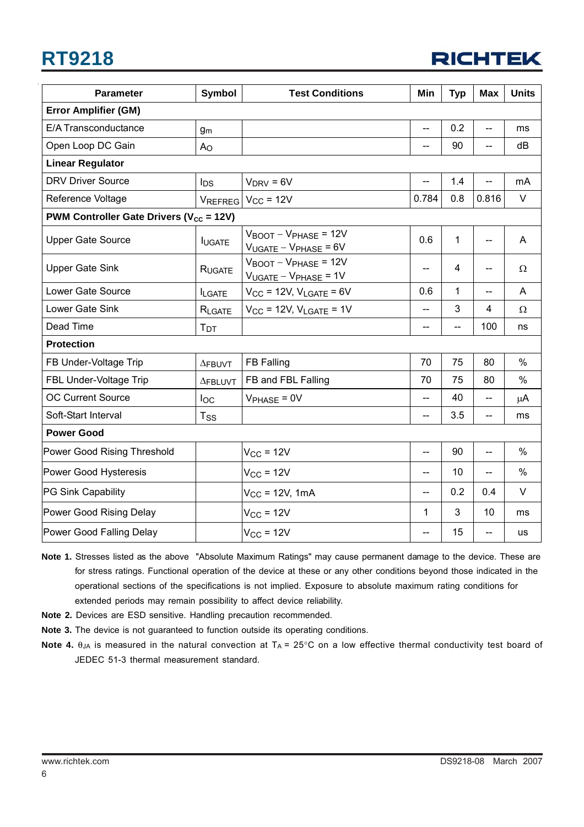# **RT9218**



| <b>Parameter</b>                                               | Symbol          | <b>Test Conditions</b>                                                     | Min   | <b>Typ</b>               | Max                      | <b>Units</b>  |
|----------------------------------------------------------------|-----------------|----------------------------------------------------------------------------|-------|--------------------------|--------------------------|---------------|
| <b>Error Amplifier (GM)</b>                                    |                 |                                                                            |       |                          |                          |               |
| E/A Transconductance                                           | g <sub>m</sub>  |                                                                            | $-$   | 0.2                      | --                       | ms            |
| Open Loop DC Gain                                              | A <sub>O</sub>  |                                                                            | --    | 90                       | $-$                      | dB            |
| <b>Linear Regulator</b>                                        |                 |                                                                            |       |                          |                          |               |
| <b>DRV Driver Source</b>                                       | $I_{DS}$        | $V_{DRV} = 6V$                                                             | --    | 1.4                      | --                       | mA            |
| Reference Voltage                                              |                 | $V_{REFREG}$ $V_{CC}$ = 12V                                                | 0.784 | 0.8                      | 0.816                    | V             |
| <b>PWM Controller Gate Drivers (<math>V_{cc}</math> = 12V)</b> |                 |                                                                            |       |                          |                          |               |
| <b>Upper Gate Source</b>                                       | <b>IUGATE</b>   | $V_{\text{BOOT}} - V_{\text{PHASE}} = 12V$<br>$V_{UGATE} - V_{PHASE} = 6V$ | 0.6   | $\mathbf{1}$             | $-$                      | A             |
| <b>Upper Gate Sink</b>                                         | RUGATE          | $V_{\text{BOOT}} - V_{\text{PHASE}} = 12V$<br>$V_{UGATE} - V_{PHASE} = 1V$ | --    | 4                        | --                       | $\Omega$      |
| Lower Gate Source                                              | <b>ILGATE</b>   | $V_{CC}$ = 12V, $V_{LGATE}$ = 6V                                           | 0.6   | 1                        | $\overline{\phantom{a}}$ | A             |
| Lower Gate Sink                                                | RLGATE          | $V_{CC}$ = 12V, $V_{LGATE}$ = 1V                                           | $-$   | 3                        | 4                        | Ω             |
| Dead Time                                                      | $T_{DT}$        |                                                                            | --    | $\overline{\phantom{0}}$ | 100                      | ns            |
| <b>Protection</b>                                              |                 |                                                                            |       |                          |                          |               |
| FB Under-Voltage Trip                                          | $\Delta$ FBUVT  | <b>FB Falling</b>                                                          | 70    | 75                       | 80                       | $\%$          |
| FBL Under-Voltage Trip                                         | $\Delta$ FBLUVT | FB and FBL Falling                                                         | 70    | 75                       | 80                       | $\frac{0}{0}$ |
| <b>OC Current Source</b>                                       | $I_{OC}$        | $V_{PHASE} = 0V$                                                           | --    | 40                       | $\overline{\phantom{a}}$ | $\mu$ A       |
| Soft-Start Interval                                            | $T_{SS}$        |                                                                            | --    | 3.5                      | $\overline{\phantom{a}}$ | ms            |
| <b>Power Good</b>                                              |                 |                                                                            |       |                          |                          |               |
| Power Good Rising Threshold                                    |                 | $V_{CC}$ = 12V                                                             | $-$   | 90                       | $-$                      | $\%$          |
| Power Good Hysteresis                                          |                 | $V_{CC}$ = 12V                                                             | --    | 10                       |                          | $\frac{0}{0}$ |
| PG Sink Capability                                             |                 | $V_{CC}$ = 12V, 1mA                                                        | --    | 0.2                      | 0.4                      | $\vee$        |
| Power Good Rising Delay                                        |                 | $V_{CC}$ = 12V                                                             | 1     | 3                        | 10                       | ms            |
| Power Good Falling Delay                                       |                 | $V_{CC}$ = 12V                                                             | --    | 15                       | --                       | us            |

**Note 1.** Stresses listed as the above "Absolute Maximum Ratings" may cause permanent damage to the device. These are for stress ratings. Functional operation of the device at these or any other conditions beyond those indicated in the operational sections of the specifications is not implied. Exposure to absolute maximum rating conditions for extended periods may remain possibility to affect device reliability.

- **Note 2.** Devices are ESD sensitive. Handling precaution recommended.
- **Note 3.** The device is not guaranteed to function outside its operating conditions.
- **Note 4.**  $\theta_{JA}$  is measured in the natural convection at  $T_A = 25^\circ \text{C}$  on a low effective thermal conductivity test board of JEDEC 51-3 thermal measurement standard.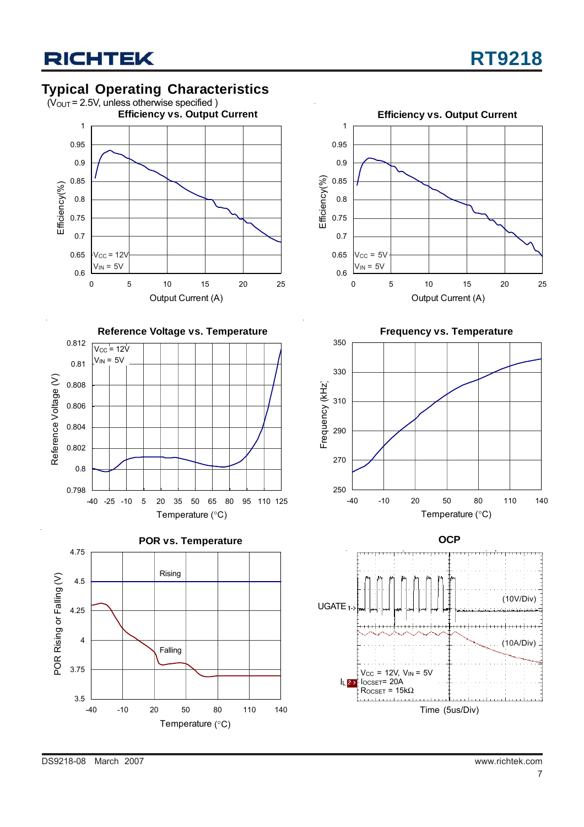## **Typical Operating Characteristics**















DS9218-08 March 2007 www.richtek.com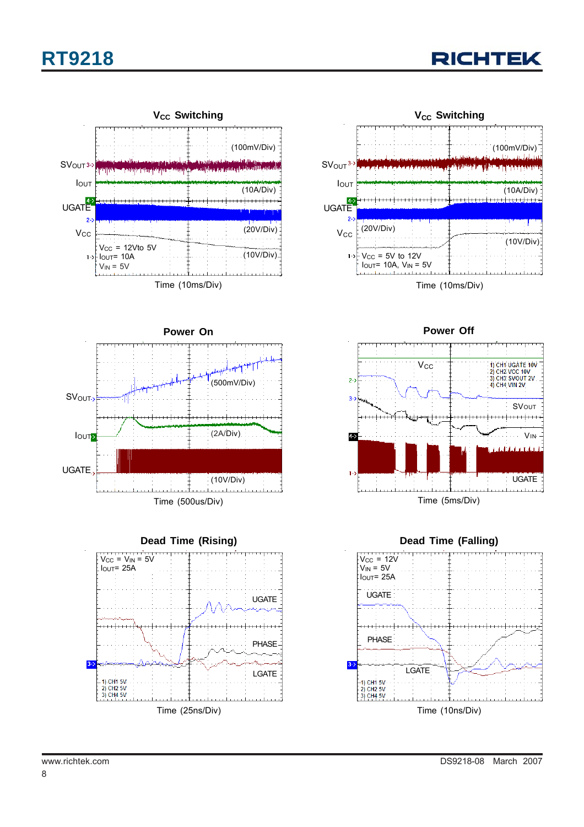













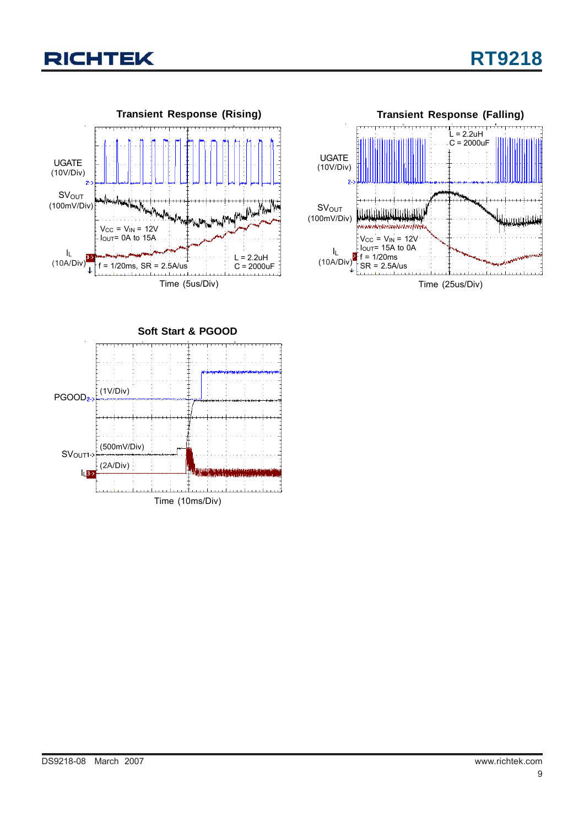





**Soft Start & PGOOD** Time (10ms/Div)  $\vert$ <sub>L</sub>3->  $PGOOD<sub>2</sub>$  (1V/Div) (500mV/Div) (2A/Div) SV<sub>OUT1</sub>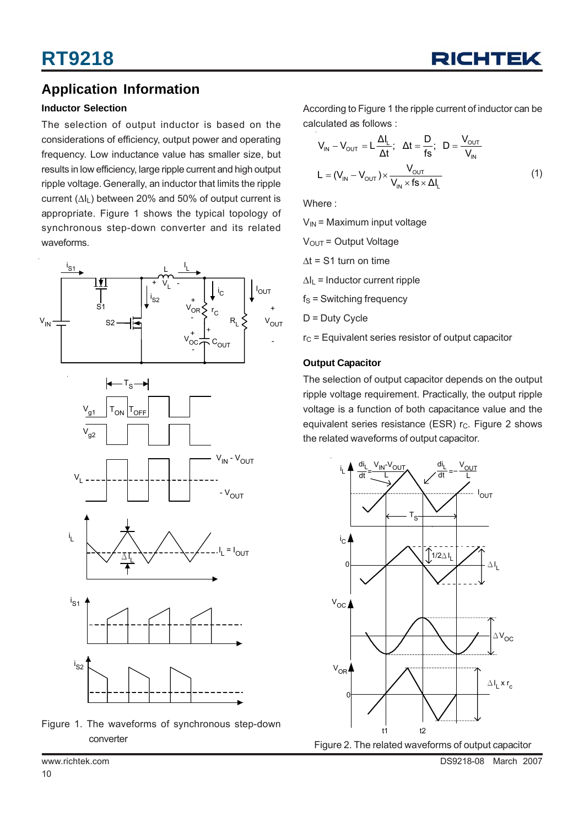

## **Application Information**

### **Inductor Selection**

The selection of output inductor is based on the considerations of efficiency, output power and operating frequency. Low inductance value has smaller size, but results in low efficiency, large ripple current and high output ripple voltage. Generally, an inductor that limits the ripple current  $(\Delta I_L)$  between 20% and 50% of output current is appropriate. Figure 1 shows the typical topology of synchronous step-down converter and its related waveforms.





According to Figure 1 the ripple current of inductor can be calculated as follows :

$$
V_{IN} - V_{OUT} = L \frac{\Delta I_L}{\Delta t}; \quad \Delta t = \frac{D}{fs}; \quad D = \frac{V_{OUT}}{V_{IN}}
$$

$$
L = (V_{IN} - V_{OUT}) \times \frac{V_{OUT}}{V_{IN} \times fs \times \Delta I_L}
$$
(1)

Where :

 $V_{IN}$  = Maximum input voltage

 $V<sub>OUT</sub> = Output Voltage$ 

 $\Delta t$  = S1 turn on time

 $\Delta I_L$  = Inductor current ripple

 $f_S$  = Switching frequency

D = Duty Cycle

 $r<sub>C</sub>$  = Equivalent series resistor of output capacitor

#### **Output Capacitor**

The selection of output capacitor depends on the output ripple voltage requirement. Practically, the output ripple voltage is a function of both capacitance value and the equivalent series resistance (ESR)  $r<sub>C</sub>$ . Figure 2 shows the related waveforms of output capacitor.



www.richtek.com DS9218-08 March 2007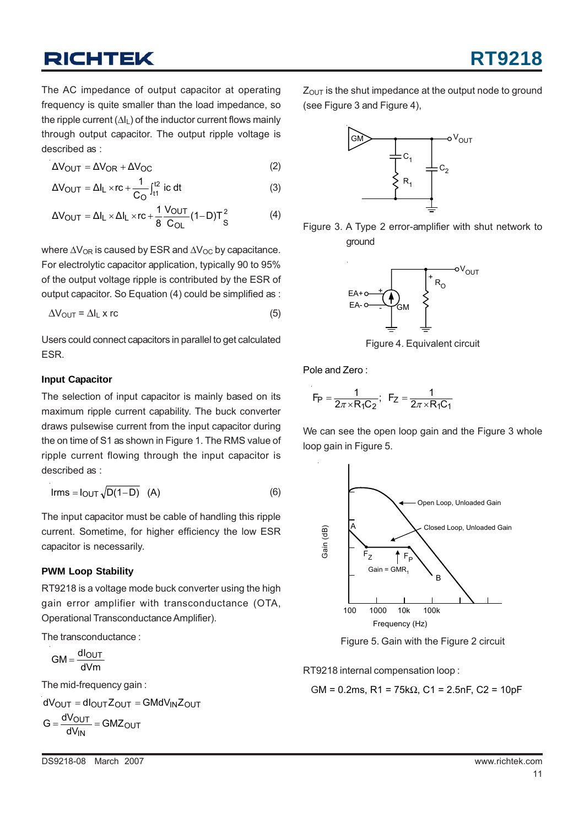The AC impedance of output capacitor at operating frequency is quite smaller than the load impedance, so the ripple current  $(\Delta I_L)$  of the inductor current flows mainly through output capacitor. The output ripple voltage is described as :

$$
\Delta V_{\text{OUT}} = \Delta V_{\text{OR}} + \Delta V_{\text{OC}} \tag{2}
$$

$$
\Delta V_{\text{OUT}} = \Delta I_{\text{L}} \times \text{rc} + \frac{1}{C_{\text{O}}} \int_{t_1}^{t_2} i c \, dt \tag{3}
$$

$$
\Delta V_{\text{OUT}} = \Delta I_{\text{L}} \times \Delta I_{\text{L}} \times rc + \frac{1}{8} \frac{V_{\text{OUT}}}{C_{\text{OL}}} (1 - D)T_{\text{S}}^2 \tag{4}
$$

where  $\Delta V_{OR}$  is caused by ESR and  $\Delta V_{OC}$  by capacitance. For electrolytic capacitor application, typically 90 to 95% of the output voltage ripple is contributed by the ESR of output capacitor. So Equation (4) could be simplified as :

$$
\Delta V_{\text{OUT}} = \Delta I_{\text{L}} \times r\text{c}
$$
 (5)

Users could connect capacitors in parallel to get calculated ESR.

#### **Input Capacitor**

The selection of input capacitor is mainly based on its maximum ripple current capability. The buck converter draws pulsewise current from the input capacitor during the on time of S1 as shown in Figure 1. The RMS value of ripple current flowing through the input capacitor is described as :

$$
Irms = I_{OUT} \sqrt{D(1-D)} \quad (A)
$$
 (6)

The input capacitor must be cable of handling this ripple current. Sometime, for higher efficiency the low ESR capacitor is necessarily.

### **PWM Loop Stability**

RT9218 is a voltage mode buck converter using the high gain error amplifier with transconductance (OTA, Operational Transconductance Amplifier).

The transconductance :

 $GM = \frac{dl_{\text{OUT}}}{dVm}$ 

The mid-frequency gain :

$$
dV_{OUT} = dl_{OUT}Z_{OUT} = GMdV_{IN}Z_{OUT}
$$

$$
G = \frac{dV_{OUT}}{dV_{IN}} = GMZ_{OUT}
$$

 $Z<sub>OUT</sub>$  is the shut impedance at the output node to ground (see Figure 3 and Figure 4),



Figure 3. A Type 2 error-amplifier with shut network to ground



Figure 4. Equivalent circuit

Pole and Zero :

$$
F_P = \frac{1}{2\pi \times R_1 C_2}
$$
;  $F_Z = \frac{1}{2\pi \times R_1 C_1}$ 

We can see the open loop gain and the Figure 3 whole loop gain in Figure 5.



Figure 5. Gain with the Figure 2 circuit

RT9218 internal compensation loop :

$$
GM = 0.2
$$
ms,  $R1 = 75k\Omega$ ,  $C1 = 2.5$ nF,  $C2 = 10$ pF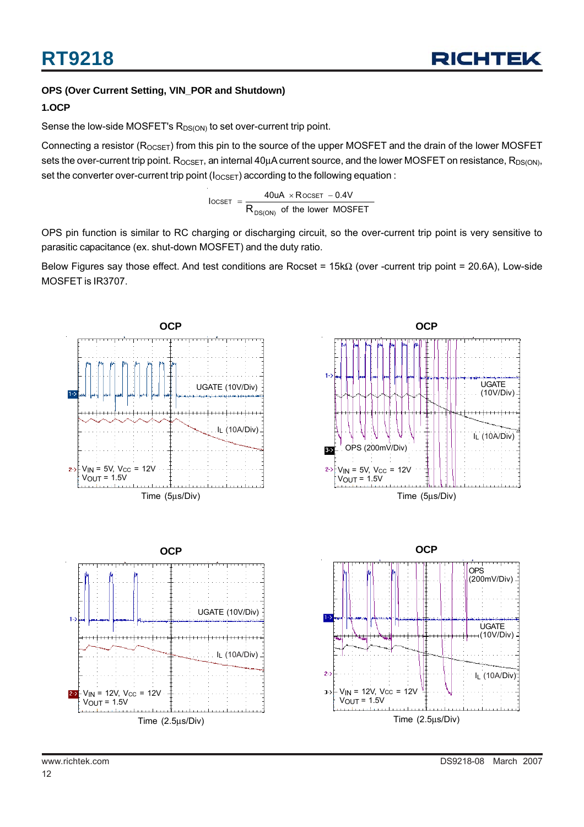## **OPS (Over Current Setting, VIN\_POR and Shutdown)**

### **1.OCP**

Sense the low-side MOSFET's  $R_{DS(ON)}$  to set over-current trip point.

Connecting a resistor ( $R_{OCSET}$ ) from this pin to the source of the upper MOSFET and the drain of the lower MOSFET sets the over-current trip point. R<sub>OCSET</sub>, an internal 40μA current source, and the lower MOSFET on resistance, R<sub>DS(ON)</sub>, set the converter over-current trip point ( $I_{OCSET}$ ) according to the following equation :

> of the lower MOSFET  $\text{IocSET}$  =  $\frac{40 \text{UA} \times \text{RocSET} - 0.4 \text{V}}{200 \text{ AU}}$ DS(ON)  $\text{OCSET}$  =  $\frac{40 \text{UA} \times \text{ROCSET}}{R_{\text{DS}(\text{ON})}}$  of the lower  $=\frac{40uA \times R$  ocset –

OPS pin function is similar to RC charging or discharging circuit, so the over-current trip point is very sensitive to parasitic capacitance (ex. shut-down MOSFET) and the duty ratio.

Below Figures say those effect. And test conditions are Rocset = 15kΩ (over -current trip point = 20.6A), Low-side MOSFET is IR3707.

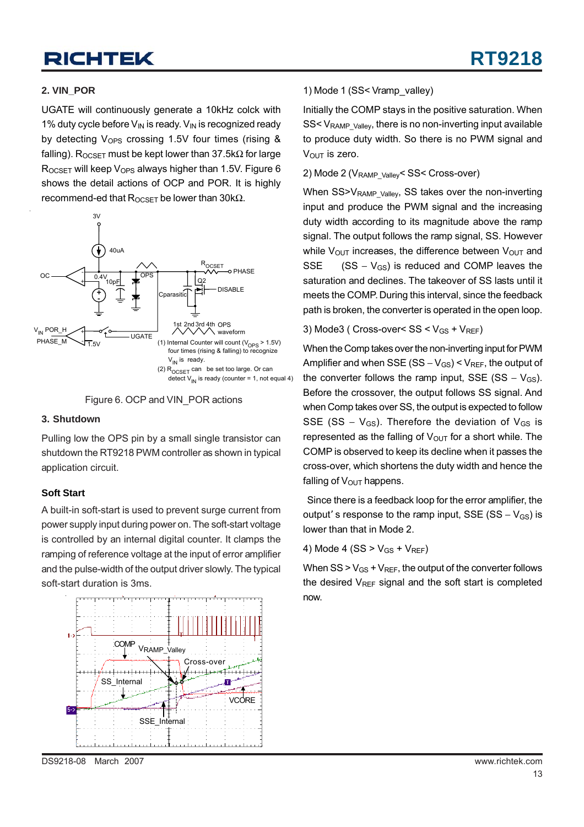#### **2. VIN\_POR**

UGATE will continuously generate a 10kHz colck with 1% duty cycle before  $V_{IN}$  is ready.  $V_{IN}$  is recognized ready by detecting  $V_{OPS}$  crossing 1.5V four times (rising & falling). R<sub>OCSET</sub> must be kept lower than 37.5kΩ for large  $R_{OCSET}$  will keep  $V_{OPS}$  always higher than 1.5V. Figure 6 shows the detail actions of OCP and POR. It is highly recommend-ed that  $R_{OCSET}$  be lower than 30kΩ.





#### **3. Shutdown**

Pulling low the OPS pin by a small single transistor can shutdown the RT9218 PWM controller as shown in typical application circuit.

#### **Soft Start**

A built-in soft-start is used to prevent surge current from power supply input during power on. The soft-start voltage is controlled by an internal digital counter. It clamps the ramping of reference voltage at the input of error amplifier and the pulse-width of the output driver slowly. The typical soft-start duration is 3ms.



#### 1) Mode 1 (SS< Vramp\_valley)

Initially the COMP stays in the positive saturation. When SS< V<sub>RAMP\_Valley</sub>, there is no non-inverting input available to produce duty width. So there is no PWM signal and  $V_{\text{OUT}}$  is zero.

#### 2) Mode 2 (V<sub>RAMP\_Valley</sub>< SS< Cross-over)

When SS>V<sub>RAMP\_Valley</sub>, SS takes over the non-inverting input and produce the PWM signal and the increasing duty width according to its magnitude above the ramp signal. The output follows the ramp signal, SS. However while  $V_{\text{OUT}}$  increases, the difference between  $V_{\text{OUT}}$  and SSE  $(SS - V_{GS})$  is reduced and COMP leaves the saturation and declines. The takeover of SS lasts until it meets the COMP. During this interval, since the feedback path is broken, the converter is operated in the open loop.

#### 3) Mode3 ( Cross-over<  $SS < V_{GS} + V_{REF}$ )

When the Comp takes over the non-inverting input for PWM Amplifier and when SSE (SS –  $V_{GS}$ ) <  $V_{REF}$ , the output of the converter follows the ramp input, SSE (SS –  $V_{GS}$ ). Before the crossover, the output follows SS signal. And when Comp takes over SS, the output is expected to follow SSE (SS –  $V_{GS}$ ). Therefore the deviation of  $V_{GS}$  is represented as the falling of  $V_{\text{OUT}}$  for a short while. The COMP is observed to keep its decline when it passes the cross-over, which shortens the duty width and hence the falling of  $V_{\text{OUT}}$  happens.

 Since there is a feedback loop for the error amplifier, the output' s response to the ramp input, SSE (SS –  $V_{GS}$ ) is lower than that in Mode 2.

4) Mode 4 (SS  $>$  V<sub>GS</sub> + V<sub>REF</sub>)

When  $SS > V_{GS} + V_{REF}$ , the output of the converter follows the desired  $V_{REF}$  signal and the soft start is completed now.

DS9218-08 March 2007 www.richtek.com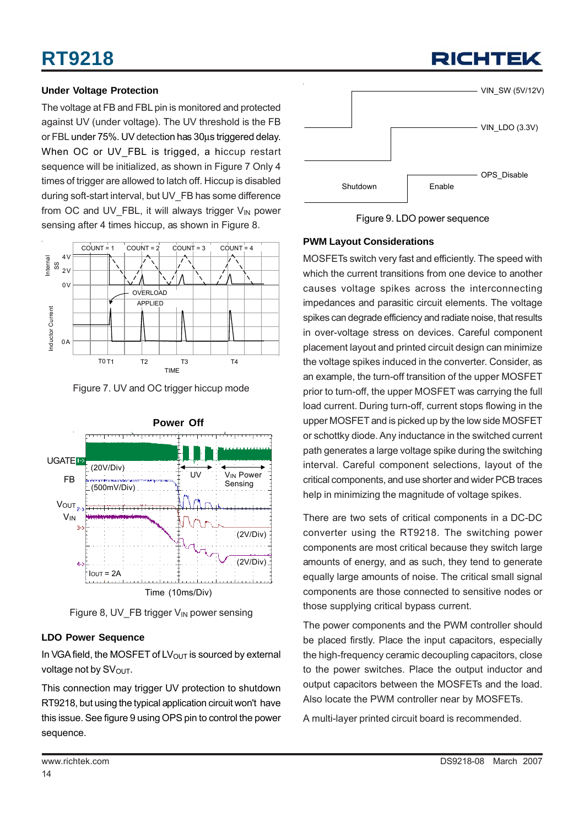## **Under Voltage Protection**

The voltage at FB and FBL pin is monitored and protected against UV (under voltage). The UV threshold is the FB or FBL under 75%. UV detection has 30μs triggered delay. When OC or UV\_FBL is trigged, a hiccup restart sequence will be initialized, as shown in Figure 7 Only 4 times of trigger are allowed to latch off. Hiccup is disabled during soft-start interval, but UV\_FB has some difference from OC and UV\_FBL, it will always trigger  $V_{IN}$  power sensing after 4 times hiccup, as shown in Figure 8.



Figure 7. UV and OC trigger hiccup mode



Figure 8, UV FB trigger  $V_{IN}$  power sensing

### **LDO Power Sequence**

In VGA field, the MOSFET of  $LV<sub>OUT</sub>$  is sourced by external voltage not by  $SV<sub>OUT</sub>$ .

This connection may trigger UV protection to shutdown RT9218, but using the typical application circuit won't have this issue. See figure 9 using OPS pin to control the power sequence.



RICHTEK

Figure 9. LDO power sequence

## **PWM Layout Considerations**

MOSFETs switch very fast and efficiently. The speed with which the current transitions from one device to another causes voltage spikes across the interconnecting impedances and parasitic circuit elements. The voltage spikes can degrade efficiency and radiate noise, that results in over-voltage stress on devices. Careful component placement layout and printed circuit design can minimize the voltage spikes induced in the converter. Consider, as an example, the turn-off transition of the upper MOSFET prior to turn-off, the upper MOSFET was carrying the full load current. During turn-off, current stops flowing in the upper MOSFET and is picked up by the low side MOSFET or schottky diode. Any inductance in the switched current path generates a large voltage spike during the switching interval. Careful component selections, layout of the critical components, and use shorter and wider PCB traces help in minimizing the magnitude of voltage spikes.

There are two sets of critical components in a DC-DC converter using the RT9218. The switching power components are most critical because they switch large amounts of energy, and as such, they tend to generate equally large amounts of noise. The critical small signal components are those connected to sensitive nodes or those supplying critical bypass current.

The power components and the PWM controller should be placed firstly. Place the input capacitors, especially the high-frequency ceramic decoupling capacitors, close to the power switches. Place the output inductor and output capacitors between the MOSFETs and the load. Also locate the PWM controller near by MOSFETs.

A multi-layer printed circuit board is recommended.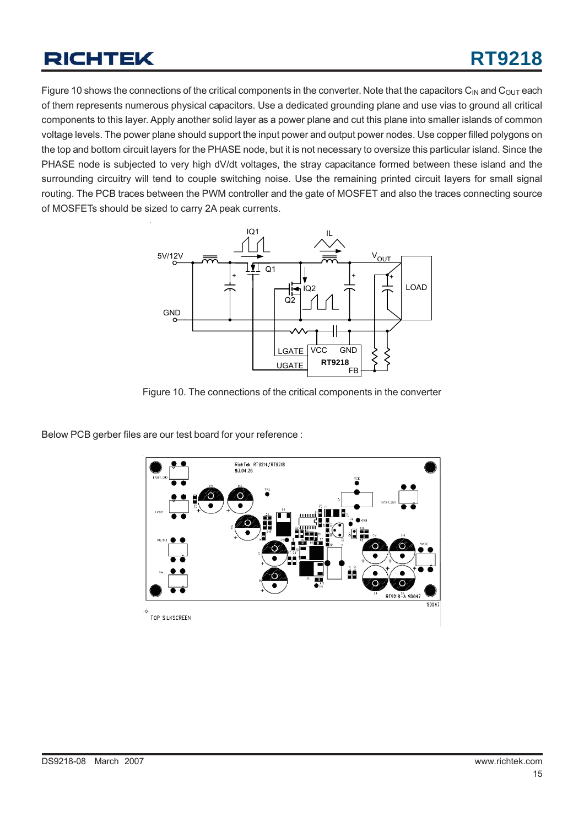Figure 10 shows the connections of the critical components in the converter. Note that the capacitors  $C_{IN}$  and  $C_{OUT}$  each of them represents numerous physical capacitors. Use a dedicated grounding plane and use vias to ground all critical components to this layer. Apply another solid layer as a power plane and cut this plane into smaller islands of common voltage levels. The power plane should support the input power and output power nodes. Use copper filled polygons on the top and bottom circuit layers for the PHASE node, but it is not necessary to oversize this particular island. Since the PHASE node is subjected to very high dV/dt voltages, the stray capacitance formed between these island and the surrounding circuitry will tend to couple switching noise. Use the remaining printed circuit layers for small signal routing. The PCB traces between the PWM controller and the gate of MOSFET and also the traces connecting source of MOSFETs should be sized to carry 2A peak currents.



Figure 10. The connections of the critical components in the converter

Below PCB gerber files are our test board for your reference :

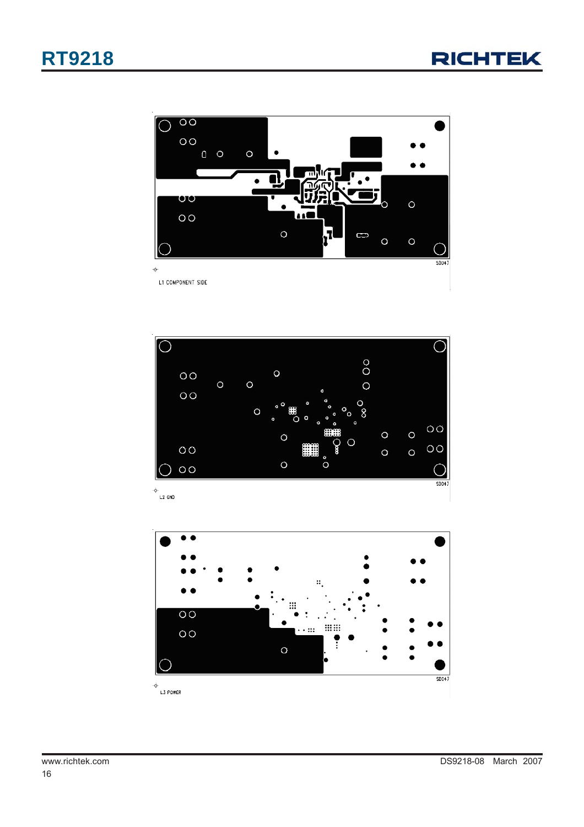





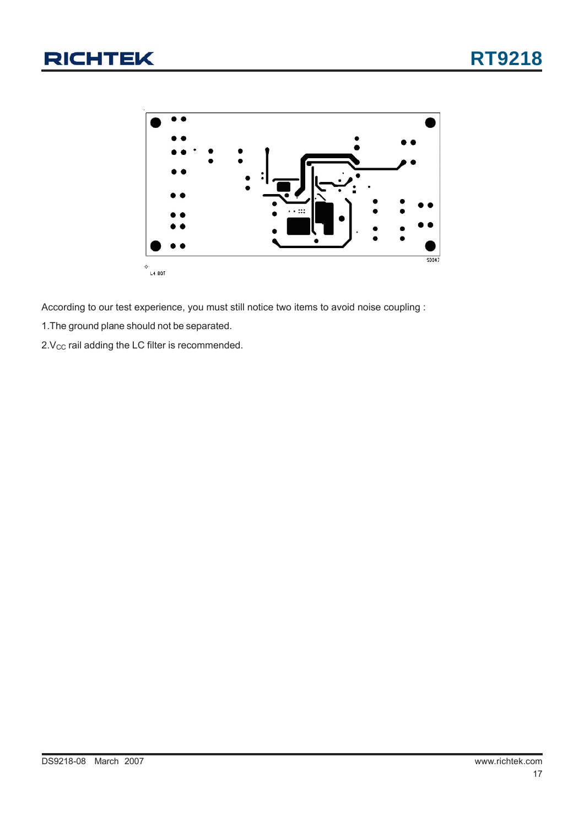

According to our test experience, you must still notice two items to avoid noise coupling :

1.The ground plane should not be separated.

 $2.V<sub>CC</sub>$  rail adding the LC filter is recommended.